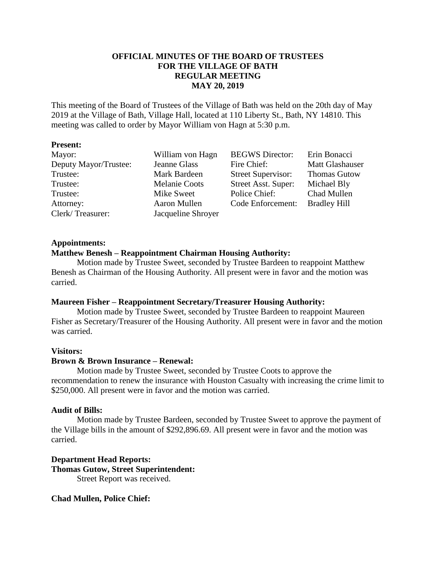# **OFFICIAL MINUTES OF THE BOARD OF TRUSTEES FOR THE VILLAGE OF BATH REGULAR MEETING MAY 20, 2019**

This meeting of the Board of Trustees of the Village of Bath was held on the 20th day of May 2019 at the Village of Bath, Village Hall, located at 110 Liberty St., Bath, NY 14810. This meeting was called to order by Mayor William von Hagn at 5:30 p.m.

## **Present:**

| Mayor:                | William von Hagn     | <b>BEGWS</b> Director:    | Erin Bonacci           |
|-----------------------|----------------------|---------------------------|------------------------|
| Deputy Mayor/Trustee: | Jeanne Glass         | Fire Chief:               | <b>Matt Glashauser</b> |
| Trustee:              | Mark Bardeen         | <b>Street Supervisor:</b> | <b>Thomas Gutow</b>    |
| Trustee:              | <b>Melanie Coots</b> | Street Asst. Super:       | Michael Bly            |
| Trustee:              | Mike Sweet           | Police Chief:             | Chad Mullen            |
| Attorney:             | Aaron Mullen         | Code Enforcement:         | <b>Bradley Hill</b>    |
| Clerk/Treasurer:      | Jacqueline Shroyer   |                           |                        |

## **Appointments:**

## **Matthew Benesh – Reappointment Chairman Housing Authority:**

Motion made by Trustee Sweet, seconded by Trustee Bardeen to reappoint Matthew Benesh as Chairman of the Housing Authority. All present were in favor and the motion was carried.

# **Maureen Fisher – Reappointment Secretary/Treasurer Housing Authority:**

Motion made by Trustee Sweet, seconded by Trustee Bardeen to reappoint Maureen Fisher as Secretary/Treasurer of the Housing Authority. All present were in favor and the motion was carried.

# **Visitors:**

### **Brown & Brown Insurance – Renewal:**

Motion made by Trustee Sweet, seconded by Trustee Coots to approve the recommendation to renew the insurance with Houston Casualty with increasing the crime limit to \$250,000. All present were in favor and the motion was carried.

### **Audit of Bills:**

Motion made by Trustee Bardeen, seconded by Trustee Sweet to approve the payment of the Village bills in the amount of \$292,896.69. All present were in favor and the motion was carried.

**Department Head Reports: Thomas Gutow, Street Superintendent:** Street Report was received.

# **Chad Mullen, Police Chief:**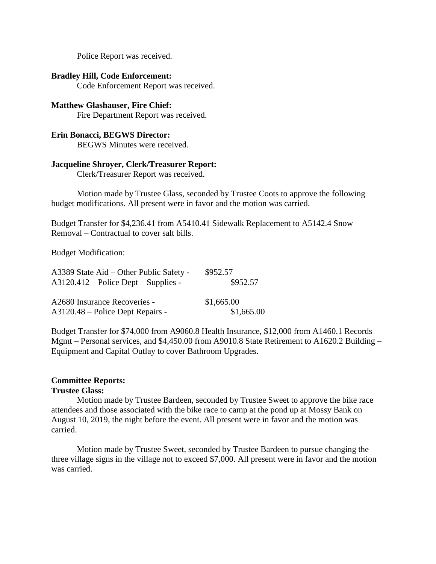Police Report was received.

#### **Bradley Hill, Code Enforcement:**

Code Enforcement Report was received.

# **Matthew Glashauser, Fire Chief:**

Fire Department Report was received.

### **Erin Bonacci, BEGWS Director:**

BEGWS Minutes were received.

## **Jacqueline Shroyer, Clerk/Treasurer Report:**

Clerk/Treasurer Report was received.

Motion made by Trustee Glass, seconded by Trustee Coots to approve the following budget modifications. All present were in favor and the motion was carried.

Budget Transfer for \$4,236.41 from A5410.41 Sidewalk Replacement to A5142.4 Snow Removal – Contractual to cover salt bills.

Budget Modification:

| A3389 State Aid – Other Public Safety - | \$952.57   |  |
|-----------------------------------------|------------|--|
| $A3120.412$ – Police Dept – Supplies -  | \$952.57   |  |
| A2680 Insurance Recoveries -            | \$1,665.00 |  |
| A3120.48 – Police Dept Repairs -        | \$1,665.00 |  |

Budget Transfer for \$74,000 from A9060.8 Health Insurance, \$12,000 from A1460.1 Records Mgmt – Personal services, and \$4,450.00 from A9010.8 State Retirement to A1620.2 Building – Equipment and Capital Outlay to cover Bathroom Upgrades.

# **Committee Reports:**

#### **Trustee Glass:**

Motion made by Trustee Bardeen, seconded by Trustee Sweet to approve the bike race attendees and those associated with the bike race to camp at the pond up at Mossy Bank on August 10, 2019, the night before the event. All present were in favor and the motion was carried.

Motion made by Trustee Sweet, seconded by Trustee Bardeen to pursue changing the three village signs in the village not to exceed \$7,000. All present were in favor and the motion was carried.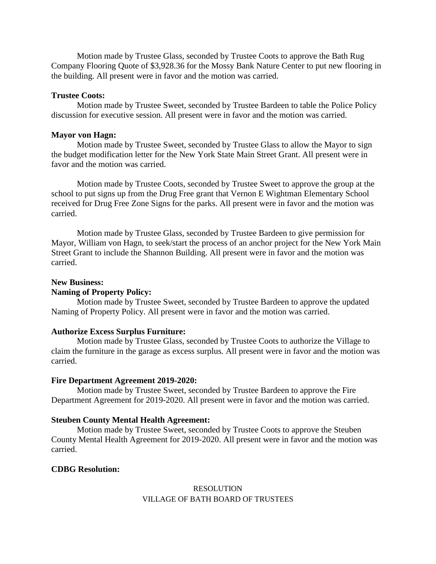Motion made by Trustee Glass, seconded by Trustee Coots to approve the Bath Rug Company Flooring Quote of \$3,928.36 for the Mossy Bank Nature Center to put new flooring in the building. All present were in favor and the motion was carried.

#### **Trustee Coots:**

Motion made by Trustee Sweet, seconded by Trustee Bardeen to table the Police Policy discussion for executive session. All present were in favor and the motion was carried.

#### **Mayor von Hagn:**

Motion made by Trustee Sweet, seconded by Trustee Glass to allow the Mayor to sign the budget modification letter for the New York State Main Street Grant. All present were in favor and the motion was carried.

Motion made by Trustee Coots, seconded by Trustee Sweet to approve the group at the school to put signs up from the Drug Free grant that Vernon E Wightman Elementary School received for Drug Free Zone Signs for the parks. All present were in favor and the motion was carried.

Motion made by Trustee Glass, seconded by Trustee Bardeen to give permission for Mayor, William von Hagn, to seek/start the process of an anchor project for the New York Main Street Grant to include the Shannon Building. All present were in favor and the motion was carried.

#### **New Business:**

#### **Naming of Property Policy:**

Motion made by Trustee Sweet, seconded by Trustee Bardeen to approve the updated Naming of Property Policy. All present were in favor and the motion was carried.

#### **Authorize Excess Surplus Furniture:**

Motion made by Trustee Glass, seconded by Trustee Coots to authorize the Village to claim the furniture in the garage as excess surplus. All present were in favor and the motion was carried.

#### **Fire Department Agreement 2019-2020:**

Motion made by Trustee Sweet, seconded by Trustee Bardeen to approve the Fire Department Agreement for 2019-2020. All present were in favor and the motion was carried.

#### **Steuben County Mental Health Agreement:**

Motion made by Trustee Sweet, seconded by Trustee Coots to approve the Steuben County Mental Health Agreement for 2019-2020. All present were in favor and the motion was carried.

### **CDBG Resolution:**

## RESOLUTION VILLAGE OF BATH BOARD OF TRUSTEES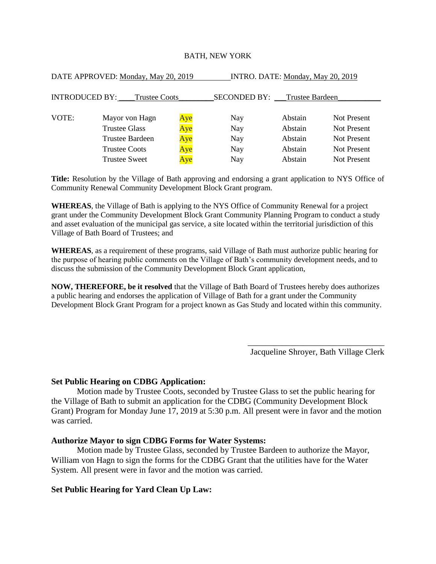#### BATH, NEW YORK

| DATE APPROVED: Monday, May 20, 2019           |                      |     | INTRO. DATE: Monday, May 20, 2019 |         |                    |  |
|-----------------------------------------------|----------------------|-----|-----------------------------------|---------|--------------------|--|
| <b>INTRODUCED BY:</b><br><b>Trustee Coots</b> |                      |     | SECONDED BY: Trustee Bardeen      |         |                    |  |
|                                               |                      |     |                                   |         |                    |  |
| VOTE:                                         | Mayor von Hagn       | Aye | Nay                               | Abstain | Not Present        |  |
|                                               | <b>Trustee Glass</b> | Aye | Nay                               | Abstain | Not Present        |  |
|                                               | Trustee Bardeen      | Aye | Nay                               | Abstain | Not Present        |  |
|                                               | <b>Trustee Coots</b> | Aye | Nay                               | Abstain | <b>Not Present</b> |  |
|                                               | <b>Trustee Sweet</b> | Aye | Nay                               | Abstain | <b>Not Present</b> |  |

**Title:** Resolution by the Village of Bath approving and endorsing a grant application to NYS Office of Community Renewal Community Development Block Grant program.

**WHEREAS**, the Village of Bath is applying to the NYS Office of Community Renewal for a project grant under the Community Development Block Grant Community Planning Program to conduct a study and asset evaluation of the municipal gas service, a site located within the territorial jurisdiction of this Village of Bath Board of Trustees; and

**WHEREAS**, as a requirement of these programs, said Village of Bath must authorize public hearing for the purpose of hearing public comments on the Village of Bath's community development needs, and to discuss the submission of the Community Development Block Grant application,

**NOW, THEREFORE, be it resolved** that the Village of Bath Board of Trustees hereby does authorizes a public hearing and endorses the application of Village of Bath for a grant under the Community Development Block Grant Program for a project known as Gas Study and located within this community.

> \_\_\_\_\_\_\_\_\_\_\_\_\_\_\_\_\_\_\_\_\_\_\_\_\_\_\_\_\_\_\_\_ Jacqueline Shroyer, Bath Village Clerk

## **Set Public Hearing on CDBG Application:**

Motion made by Trustee Coots, seconded by Trustee Glass to set the public hearing for the Village of Bath to submit an application for the CDBG (Community Development Block Grant) Program for Monday June 17, 2019 at 5:30 p.m. All present were in favor and the motion was carried.

#### **Authorize Mayor to sign CDBG Forms for Water Systems:**

Motion made by Trustee Glass, seconded by Trustee Bardeen to authorize the Mayor, William von Hagn to sign the forms for the CDBG Grant that the utilities have for the Water System. All present were in favor and the motion was carried.

### **Set Public Hearing for Yard Clean Up Law:**